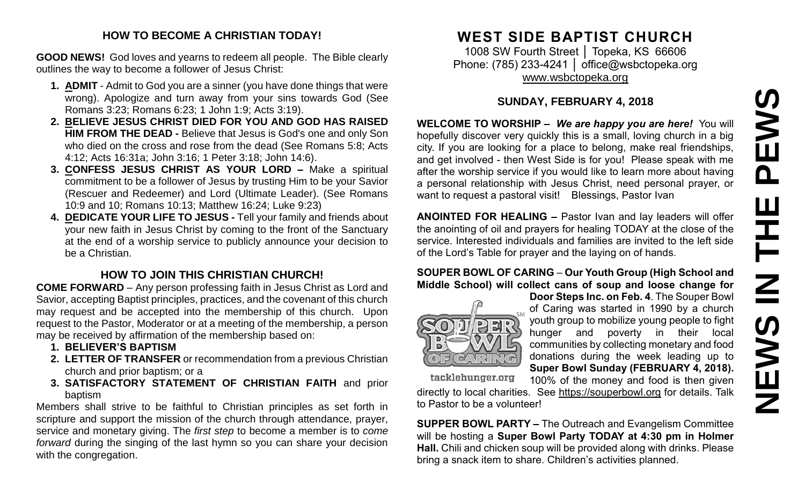# **NEWS IN THE PEWS**PEWS HH Z **SVEMS**

### **HOW TO BECOME A CHRISTIAN TODAY!**

**GOOD NEWS!** God loves and yearns to redeem all people. The Bible clearly outlines the way to become a follower of Jesus Christ:

- **1. ADMIT** Admit to God you are a sinner (you have done things that were wrong). Apologize and turn away from your sins towards God (See Romans 3:23; Romans 6:23; 1 John 1:9; Acts 3:19).
- **2. BELIEVE JESUS CHRIST DIED FOR YOU AND GOD HAS RAISED HIM FROM THE DEAD -** Believe that Jesus is God's one and only Son who died on the cross and rose from the dead (See Romans 5:8; Acts 4:12; Acts 16:31a; John 3:16; 1 Peter 3:18; John 14:6).
- **3. CONFESS JESUS CHRIST AS YOUR LORD –** Make a spiritual commitment to be a follower of Jesus by trusting Him to be your Savior (Rescuer and Redeemer) and Lord (Ultimate Leader). (See Romans 10:9 and 10; Romans 10:13; Matthew 16:24; Luke 9:23)
- **4. DEDICATE YOUR LIFE TO JESUS -** Tell your family and friends about your new faith in Jesus Christ by coming to the front of the Sanctuary at the end of a worship service to publicly announce your decision to be a Christian.

## **HOW TO JOIN THIS CHRISTIAN CHURCH!**

**COME FORWARD** – Any person professing faith in Jesus Christ as Lord and Savior, accepting Baptist principles, practices, and the covenant of this church may request and be accepted into the membership of this church. Upon request to the Pastor, Moderator or at a meeting of the membership, a person may be received by affirmation of the membership based on:

- **1. BELIEVER'S BAPTISM**
- **2. LETTER OF TRANSFER** or recommendation from a previous Christian church and prior baptism; or a
- **3. SATISFACTORY STATEMENT OF CHRISTIAN FAITH** and prior baptism

Members shall strive to be faithful to Christian principles as set forth in scripture and support the mission of the church through attendance, prayer, service and monetary giving. The *first step* to become a member is to *come forward* during the singing of the last hymn so you can share your decision with the congregation.

# **WEST SIDE BAPTIST CHURCH**

1008 SW Fourth Street │ Topeka, KS 66606 Phone: (785) 233-4241 | [office@wsbctopeka.org](mailto:office@wsbctopeka.org) [www.wsbctopeka.org](http://www.wsbctopeka.org/)

### **SUNDAY, FEBRUARY 4, 2018**

**WELCOME TO WORSHIP –** *We are happy you are here!* You will hopefully discover very quickly this is a small, loving church in a big city. If you are looking for a place to belong, make real friendships, and get involved - then West Side is for you! Please speak with me after the worship service if you would like to learn more about having a personal relationship with Jesus Christ, need personal prayer, or want to request a pastoral visit! Blessings, Pastor Ivan

**ANOINTED FOR HEALING –** Pastor Ivan and lay leaders will offer the anointing of oil and prayers for healing TODAY at the close of the service. Interested individuals and families are invited to the left side of the Lord's Table for prayer and the laying on of hands.

### **SOUPER BOWL OF CARING** – **Our Youth Group (High School and Middle School) will collect cans of soup and loose change for**



**Door Steps Inc. on Feb. 4**. The Souper Bowl of Caring was started in 1990 by a church youth group to mobilize young people to fight hunger and poverty in their local communities by collecting monetary and food donations during the week leading up to **Super Bowl Sunday (FEBRUARY 4, 2018).**  100% of the money and food is then given

tacklehunger.org

directly to local charities. See [https://souperbowl.org](https://souperbowl.org/) for details. Talk to Pastor to be a volunteer!

**SUPPER BOWL PARTY –** The Outreach and Evangelism Committee will be hosting a **Super Bowl Party TODAY at 4:30 pm in Holmer Hall.** Chili and chicken soup will be provided along with drinks. Please bring a snack item to share. Children's activities planned.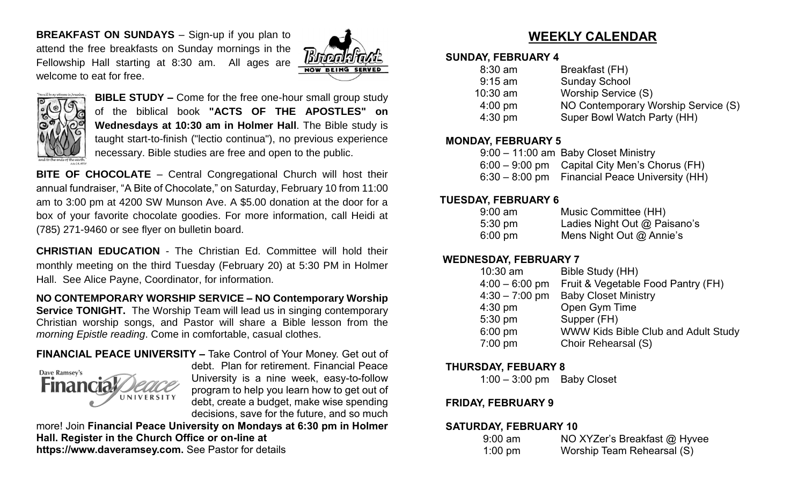**BREAKFAST ON SUNDAYS** – Sign-up if you plan to attend the free breakfasts on Sunday mornings in the Fellowship Hall starting at 8:30 am. All ages are welcome to eat for free.





**BIBLE STUDY –** Come for the free one-hour small group study of the biblical book **"ACTS OF THE APOSTLES" on Wednesdays at 10:30 am in Holmer Hall**. The Bible study is taught start-to-finish ("lectio continua"), no previous experience necessary. Bible studies are free and open to the public.

**BITE OF CHOCOLATE** – Central Congregational Church will host their annual fundraiser, "A Bite of Chocolate," on Saturday, February 10 from 11:00 am to 3:00 pm at 4200 SW Munson Ave. A \$5.00 donation at the door for a box of your favorite chocolate goodies. For more information, call Heidi at (785) 271-9460 or see flyer on bulletin board.

**CHRISTIAN EDUCATION** - The Christian Ed. Committee will hold their monthly meeting on the third Tuesday (February 20) at 5:30 PM in Holmer Hall. See Alice Payne, Coordinator, for information.

**NO CONTEMPORARY WORSHIP SERVICE – NO Contemporary Worship Service TONIGHT.** The Worship Team will lead us in singing contemporary Christian worship songs, and Pastor will share a Bible lesson from the *morning Epistle reading*. Come in comfortable, casual clothes.

### **FINANCIAL PEACE UNIVERSITY –** Take Control of Your Money. Get out of



debt. Plan for retirement. Financial Peace University is a nine week, easy-to-follow program to help you learn how to get out of debt, create a budget, make wise spending decisions, save for the future, and so much

more! Join **Financial Peace University on Mondays at 6:30 pm in Holmer Hall. Register in the Church Office or on-line at https://www.daveramsey.com.** See Pastor for details

# **WEEKLY CALENDAR**

### **SUNDAY, FEBRUARY 4**

| $8:30$ am         | Breakfast (FH)                      |
|-------------------|-------------------------------------|
| $9:15$ am         | <b>Sunday School</b>                |
| $10:30$ am        | Worship Service (S)                 |
| $4:00 \text{ pm}$ | NO Contemporary Worship Service (S) |
| $4:30$ pm         | Super Bowl Watch Party (HH)         |
|                   |                                     |

### **MONDAY, FEBRUARY 5**

| 9:00 - 11:00 am Baby Closet Ministry            |
|-------------------------------------------------|
| $6:00 - 9:00$ pm Capital City Men's Chorus (FH) |
| 6:30 – 8:00 pm Financial Peace University (HH)  |

### **TUESDAY, FEBRUARY 6**

| $9:00$ am         | Music Committee (HH)         |
|-------------------|------------------------------|
| $5:30 \text{ pm}$ | Ladies Night Out @ Paisano's |
| $6:00 \text{ pm}$ | Mens Night Out $@$ Annie's   |

### **WEDNESDAY, FEBRUARY 7**

| $10:30$ am       | Bible Study (HH)                    |
|------------------|-------------------------------------|
| $4:00 - 6:00$ pm | Fruit & Vegetable Food Pantry (FH)  |
| $4:30 - 7:00$ pm | <b>Baby Closet Ministry</b>         |
| $4:30$ pm        | Open Gym Time                       |
| 5:30 pm          | Supper (FH)                         |
| 6:00 pm          | WWW Kids Bible Club and Adult Study |
| 7:00 pm          | Choir Rehearsal (S)                 |
|                  |                                     |

### **THURSDAY, FEBUARY 8**

1:00 – 3:00 pm Baby Closet

### **FRIDAY, FEBRUARY 9**

### **SATURDAY, FEBRUARY 10**

| $9:00$ am         | NO XYZer's Breakfast @ Hyvee |
|-------------------|------------------------------|
| $1:00 \text{ pm}$ | Worship Team Rehearsal (S)   |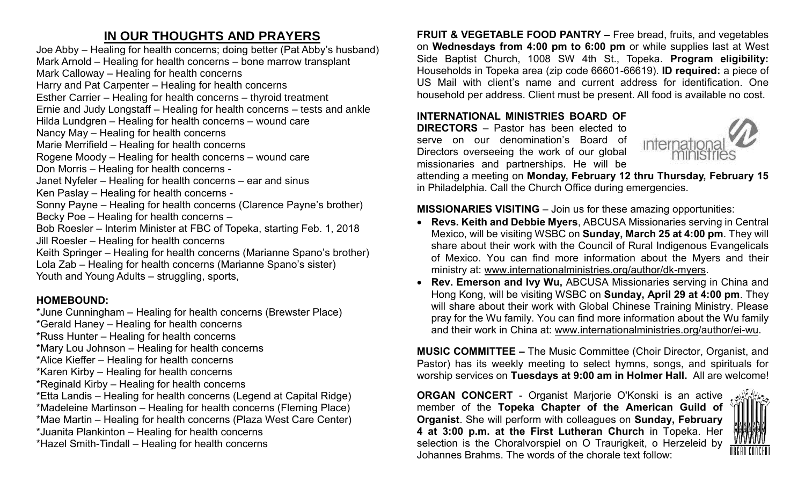# **IN OUR THOUGHTS AND PRAYERS**

Joe Abby – Healing for health concerns; doing better (Pat Abby's husband) Mark Arnold – Healing for health concerns – bone marrow transplant Mark Calloway – Healing for health concerns Harry and Pat Carpenter – Healing for health concerns Esther Carrier – Healing for health concerns – thyroid treatment Ernie and Judy Longstaff – Healing for health concerns – tests and ankle Hilda Lundgren – Healing for health concerns – wound care Nancy May – Healing for health concerns Marie Merrifield – Healing for health concerns Rogene Moody – Healing for health concerns – wound care Don Morris – Healing for health concerns - Janet Nyfeler – Healing for health concerns – ear and sinus Ken Paslay – Healing for health concerns - Sonny Payne – Healing for health concerns (Clarence Payne's brother) Becky Poe – Healing for health concerns – Bob Roesler – Interim Minister at FBC of Topeka, starting Feb. 1, 2018 Jill Roesler – Healing for health concerns Keith Springer – Healing for health concerns (Marianne Spano's brother) Lola Zab – Healing for health concerns (Marianne Spano's sister) Youth and Young Adults – struggling, sports,

### **HOMEBOUND:**

\*June Cunningham – Healing for health concerns (Brewster Place)

\*Gerald Haney – Healing for health concerns

\*Russ Hunter – Healing for health concerns

\*Mary Lou Johnson – Healing for health concerns

\*Alice Kieffer – Healing for health concerns

\*Karen Kirby – Healing for health concerns

\*Reginald Kirby – Healing for health concerns

\*Etta Landis – Healing for health concerns (Legend at Capital Ridge)

\*Madeleine Martinson – Healing for health concerns (Fleming Place)

\*Mae Martin – Healing for health concerns (Plaza West Care Center)

\*Juanita Plankinton – Healing for health concerns

\*Hazel Smith-Tindall – Healing for health concerns

**FRUIT & VEGETABLE FOOD PANTRY –** Free bread, fruits, and vegetables on **Wednesdays from 4:00 pm to 6:00 pm** or while supplies last at West Side Baptist Church, 1008 SW 4th St., Topeka. **Program eligibility:**  Households in Topeka area (zip code 66601-66619). **ID required:** a piece of US Mail with client's name and current address for identification. One household per address. Client must be present. All food is available no cost.

### **INTERNATIONAL MINISTRIES BOARD OF**

**DIRECTORS** – Pastor has been elected to serve on our denomination's Board of Directors overseeing the work of our global missionaries and partnerships. He will be



attending a meeting on **Monday, February 12 thru Thursday, February 15** in Philadelphia. Call the Church Office during emergencies.

### **MISSIONARIES VISITING** – Join us for these amazing opportunities:

- **Revs. Keith and Debbie Myers**, ABCUSA Missionaries serving in Central Mexico, will be visiting WSBC on **Sunday, March 25 at 4:00 pm**. They will share about their work with the Council of Rural Indigenous Evangelicals of Mexico. You can find more information about the Myers and their ministry at: [www.internationalministries.org/author/dk-myers.](http://www.internationalministries.org/author/dk-myers)
- **Rev. Emerson and Ivy Wu,** ABCUSA Missionaries serving in China and Hong Kong, will be visiting WSBC on **Sunday, April 29 at 4:00 pm**. They will share about their work with Global Chinese Training Ministry. Please pray for the Wu family. You can find more information about the Wu family and their work in China at: [www.internationalministries.org/author/ei-wu.](http://www.internationalministries.org/author/ei-wu)

**MUSIC COMMITTEE –** The Music Committee (Choir Director, Organist, and Pastor) has its weekly meeting to select hymns, songs, and spirituals for worship services on **Tuesdays at 9:00 am in Holmer Hall.** All are welcome!

**ORGAN CONCERT** - Organist Marjorie O'Konski is an active member of the **Topeka Chapter of the American Guild of Organist**. She will perform with colleagues on **Sunday, February 4 at 3:00 p.m. at the First Lutheran Church** in Topeka. Her selection is the Choralvorspiel on O Traurigkeit, o Herzeleid by Johannes Brahms. The words of the chorale text follow: